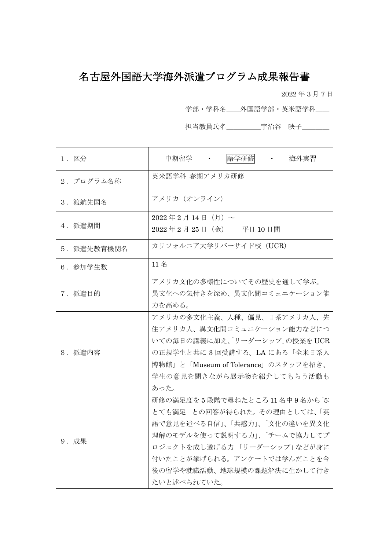# 名古屋外国語大学海外派遣プログラム成果報告書

2022 年 3 月 7 日

学部・学科名\_\_外国語学部・英米語学科\_\_

担当教員氏名\_\_\_\_\_\_\_\_宇治谷 映子\_\_\_\_\_\_

| 1. 区分       | 語学研修<br>中期留学<br>$\mathcal{L}(\mathbf{z})$ , and $\mathcal{L}(\mathbf{z})$<br>海外実習                                                                                                                                                    |
|-------------|--------------------------------------------------------------------------------------------------------------------------------------------------------------------------------------------------------------------------------------|
| 2. プログラム名称  | 英米語学科 春期アメリカ研修                                                                                                                                                                                                                       |
| 3. 渡航先国名    | アメリカ (オンライン)                                                                                                                                                                                                                         |
| 4. 派遣期間     | $2022 \oplus 2 \oplus 14 \oplus (\oplus)$ ~<br>2022年2月25日 (金) 平日10日間                                                                                                                                                                 |
| 5. 派遣先教育機関名 | カリフォルニア大学リバーサイド校 (UCR)                                                                                                                                                                                                               |
| 6. 参加学生数    | 11名                                                                                                                                                                                                                                  |
| 7. 派遣目的     | アメリカ文化の多様性についてその歴史を通して学ぶ。<br>異文化への気付きを深め、異文化間コミュニケーション能<br>力を高める。                                                                                                                                                                    |
| 8. 派遣内容     | アメリカの多文化主義、人種、偏見、日系アメリカ人、先<br>住アメリカ人、異文化間コミュニケーション能力などにつ<br>いての毎日の講義に加え、「リーダーシップ」の授業をUCR<br>の正規学生と共に3回受講する。LAにある「全米日系人<br>博物館」と「Museum of Tolerance」のスタッフを招き、<br>学生の意見を聞きながら展示物を紹介してもらう活動も<br>あった。                                   |
| 9. 成果       | 研修の満足度を5段階で尋ねたところ11名中9名から「5:<br>とても満足」との回答が得られた。その理由としては、「英<br>語で意見を述べる自信」、「共感力」、「文化の違いを異文化<br>理解のモデルを使って説明する力」、「チームで協力してプ<br>ロジェクトを成し遂げる力」「リーダーシップ」などが身に<br>付いたことが挙げられる。アンケートでは学んだことを今<br>後の留学や就職活動、地球規模の課題解決に生かして行き<br>たいと述べられていた。 |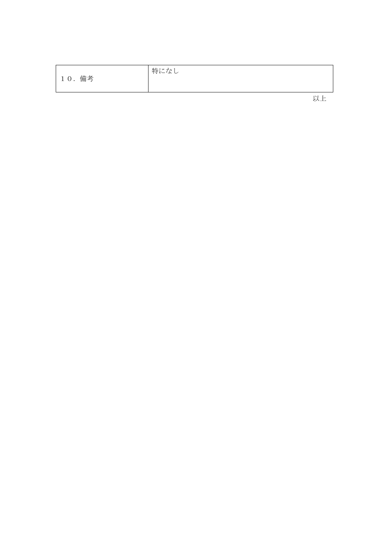| 10. 備考 | 特になし |     |
|--------|------|-----|
|        |      | 111 |

以上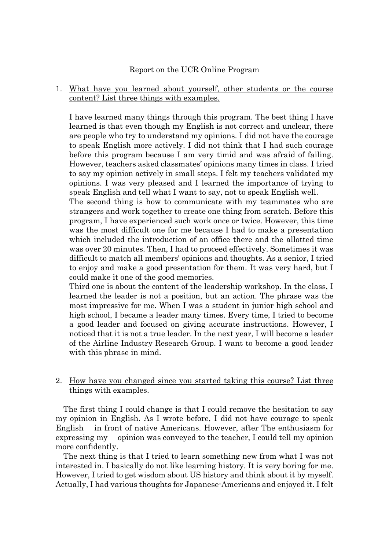#### Report on the UCR Online Program

1. What have you learned about yourself, other students or the course content? List three things with examples.

I have learned many things through this program. The best thing I have learned is that even though my English is not correct and unclear, there are people who try to understand my opinions. I did not have the courage to speak English more actively. I did not think that I had such courage before this program because I am very timid and was afraid of failing. However, teachers asked classmates' opinions many times in class. I tried to say my opinion actively in small steps. I felt my teachers validated my opinions. I was very pleased and I learned the importance of trying to speak English and tell what I want to say, not to speak English well.

The second thing is how to communicate with my teammates who are strangers and work together to create one thing from scratch. Before this program, I have experienced such work once or twice. However, this time was the most difficult one for me because I had to make a presentation which included the introduction of an office there and the allotted time was over 20 minutes. Then, I had to proceed effectively. Sometimes it was difficult to match all members' opinions and thoughts. As a senior, I tried to enjoy and make a good presentation for them. It was very hard, but I could make it one of the good memories.

Third one is about the content of the leadership workshop. In the class, I learned the leader is not a position, but an action. The phrase was the most impressive for me. When I was a student in junior high school and high school, I became a leader many times. Every time, I tried to become a good leader and focused on giving accurate instructions. However, I noticed that it is not a true leader. In the next year, I will become a leader of the Airline Industry Research Group. I want to become a good leader with this phrase in mind.

## 2. How have you changed since you started taking this course? List three things with examples.

The first thing I could change is that I could remove the hesitation to say my opinion in English. As I wrote before, I did not have courage to speak English in front of native Americans. However, after The enthusiasm for expressing my opinion was conveyed to the teacher, I could tell my opinion more confidently.

The next thing is that I tried to learn something new from what I was not interested in. I basically do not like learning history. It is very boring for me. However, I tried to get wisdom about US history and think about it by myself. Actually, I had various thoughts for Japanese-Americans and enjoyed it. I felt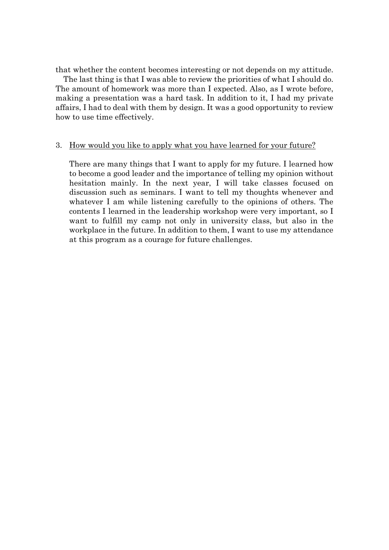that whether the content becomes interesting or not depends on my attitude.

The last thing is that I was able to review the priorities of what I should do. The amount of homework was more than I expected. Also, as I wrote before, making a presentation was a hard task. In addition to it, I had my private affairs, I had to deal with them by design. It was a good opportunity to review how to use time effectively.

#### 3. How would you like to apply what you have learned for your future?

There are many things that I want to apply for my future. I learned how to become a good leader and the importance of telling my opinion without hesitation mainly. In the next year, I will take classes focused on discussion such as seminars. I want to tell my thoughts whenever and whatever I am while listening carefully to the opinions of others. The contents I learned in the leadership workshop were very important, so I want to fulfill my camp not only in university class, but also in the workplace in the future. In addition to them, I want to use my attendance at this program as a courage for future challenges.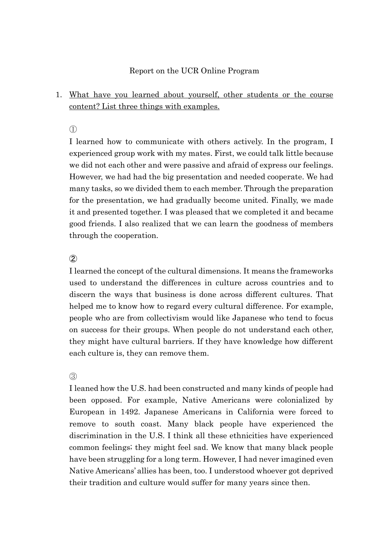## Report on the UCR Online Program

# 1. What have you learned about yourself, other students or the course content? List three things with examples.

①

I learned how to communicate with others actively. In the program, I experienced group work with my mates. First, we could talk little because we did not each other and were passive and afraid of express our feelings. However, we had had the big presentation and needed cooperate. We had many tasks, so we divided them to each member. Through the preparation for the presentation, we had gradually become united. Finally, we made it and presented together. I was pleased that we completed it and became good friends. I also realized that we can learn the goodness of members through the cooperation.

## $(2)$

I learned the concept of the cultural dimensions. It means the frameworks used to understand the differences in culture across countries and to discern the ways that business is done across different cultures. That helped me to know how to regard every cultural difference. For example, people who are from collectivism would like Japanese who tend to focus on success for their groups. When people do not understand each other, they might have cultural barriers. If they have knowledge how different each culture is, they can remove them.

#### $(3)$

I leaned how the U.S. had been constructed and many kinds of people had been opposed. For example, Native Americans were colonialized by European in 1492. Japanese Americans in California were forced to remove to south coast. Many black people have experienced the discrimination in the U.S. I think all these ethnicities have experienced common feelings; they might feel sad. We know that many black people have been struggling for a long term. However, I had never imagined even Native Americans' allies has been, too. I understood whoever got deprived their tradition and culture would suffer for many years since then.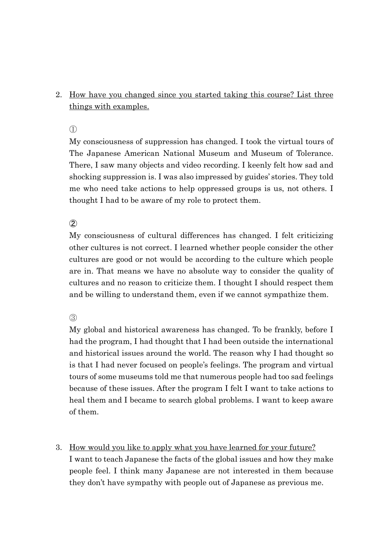# 2. How have you changed since you started taking this course? List three things with examples.

 $\bigcap$ 

My consciousness of suppression has changed. I took the virtual tours of The Japanese American National Museum and Museum of Tolerance. There, I saw many objects and video recording. I keenly felt how sad and shocking suppression is. I was also impressed by guides' stories. They told me who need take actions to help oppressed groups is us, not others. I thought I had to be aware of my role to protect them.

 $(2)$ 

My consciousness of cultural differences has changed. I felt criticizing other cultures is not correct. I learned whether people consider the other cultures are good or not would be according to the culture which people are in. That means we have no absolute way to consider the quality of cultures and no reason to criticize them. I thought I should respect them and be willing to understand them, even if we cannot sympathize them.

③

My global and historical awareness has changed. To be frankly, before I had the program, I had thought that I had been outside the international and historical issues around the world. The reason why I had thought so is that I had never focused on people's feelings. The program and virtual tours of some museums told me that numerous people had too sad feelings because of these issues. After the program I felt I want to take actions to heal them and I became to search global problems. I want to keep aware of them.

3. How would you like to apply what you have learned for your future? I want to teach Japanese the facts of the global issues and how they make people feel. I think many Japanese are not interested in them because they don't have sympathy with people out of Japanese as previous me.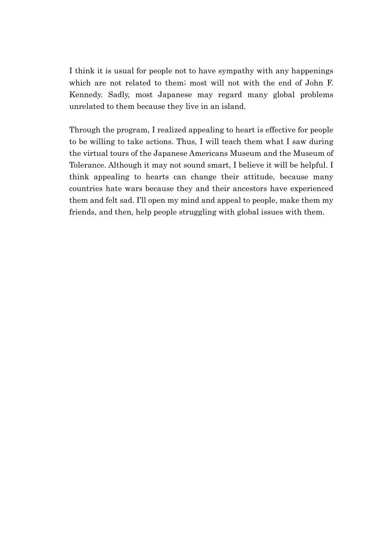I think it is usual for people not to have sympathy with any happenings which are not related to them; most will not with the end of John F. Kennedy. Sadly, most Japanese may regard many global problems unrelated to them because they live in an island.

Through the program, I realized appealing to heart is effective for people to be willing to take actions. Thus, I will teach them what I saw during the virtual tours of the Japanese Americans Museum and the Museum of Tolerance. Although it may not sound smart, I believe it will be helpful. I think appealing to hearts can change their attitude, because many countries hate wars because they and their ancestors have experienced them and felt sad. I'll open my mind and appeal to people, make them my friends, and then, help people struggling with global issues with them.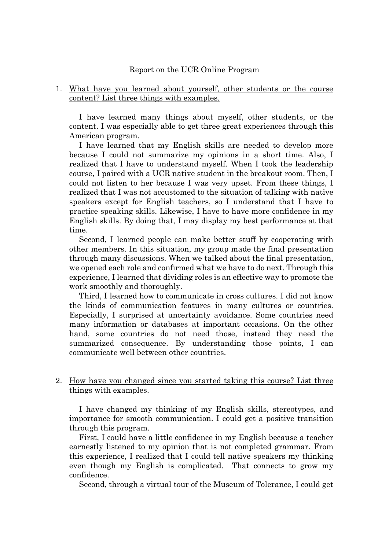#### Report on the UCR Online Program

#### 1. What have you learned about yourself, other students or the course content? List three things with examples.

I have learned many things about myself, other students, or the content. I was especially able to get three great experiences through this American program.

I have learned that my English skills are needed to develop more because I could not summarize my opinions in a short time. Also, I realized that I have to understand myself. When I took the leadership course, I paired with a UCR native student in the breakout room. Then, I could not listen to her because I was very upset. From these things, I realized that I was not accustomed to the situation of talking with native speakers except for English teachers, so I understand that I have to practice speaking skills. Likewise, I have to have more confidence in my English skills. By doing that, I may display my best performance at that time.

Second, I learned people can make better stuff by cooperating with other members. In this situation, my group made the final presentation through many discussions. When we talked about the final presentation, we opened each role and confirmed what we have to do next. Through this experience, I learned that dividing roles is an effective way to promote the work smoothly and thoroughly.

Third, I learned how to communicate in cross cultures. I did not know the kinds of communication features in many cultures or countries. Especially, I surprised at uncertainty avoidance. Some countries need many information or databases at important occasions. On the other hand, some countries do not need those, instead they need the summarized consequence. By understanding those points, I can communicate well between other countries.

#### 2. How have you changed since you started taking this course? List three things with examples.

I have changed my thinking of my English skills, stereotypes, and importance for smooth communication. I could get a positive transition through this program.

First, I could have a little confidence in my English because a teacher earnestly listened to my opinion that is not completed grammar. From this experience, I realized that I could tell native speakers my thinking even though my English is complicated. That connects to grow my confidence.

Second, through a virtual tour of the Museum of Tolerance, I could get